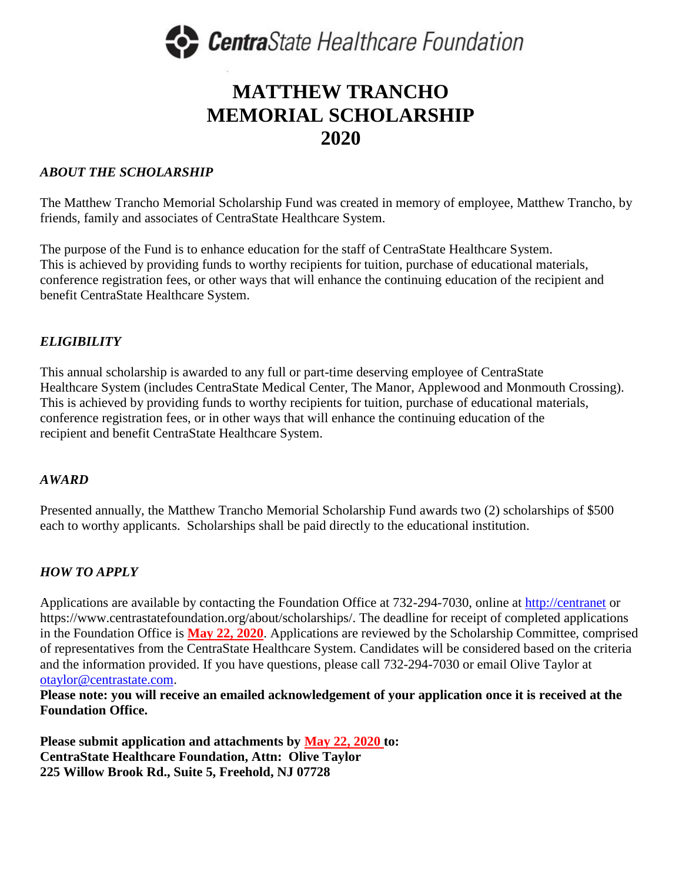

# **MATTHEW TRANCHO MEMORIAL SCHOLARSHIP 2020**

## *ABOUT THE SCHOLARSHIP*

The Matthew Trancho Memorial Scholarship Fund was created in memory of employee, Matthew Trancho, by friends, family and associates of CentraState Healthcare System.

The purpose of the Fund is to enhance education for the staff of CentraState Healthcare System. This is achieved by providing funds to worthy recipients for tuition, purchase of educational materials, conference registration fees, or other ways that will enhance the continuing education of the recipient and benefit CentraState Healthcare System.

### *ELIGIBILITY*

This annual scholarship is awarded to any full or part-time deserving employee of CentraState Healthcare System (includes CentraState Medical Center, The Manor, Applewood and Monmouth Crossing). This is achieved by providing funds to worthy recipients for tuition, purchase of educational materials, conference registration fees, or in other ways that will enhance the continuing education of the recipient and benefit CentraState Healthcare System.

#### *AWARD*

Presented annually, the Matthew Trancho Memorial Scholarship Fund awards two (2) scholarships of \$500 each to worthy applicants. Scholarships shall be paid directly to the educational institution.

# *HOW TO APPLY*

Applications are available by contacting the Foundation Office at 732-294-7030, online at [http://centranet](http://centranet/) or https://www.centrastatefoundation.org/about/scholarships/. The deadline for receipt of completed applications in the Foundation Office is **May 22, 2020**. Applications are reviewed by the Scholarship Committee, comprised of representatives from the CentraState Healthcare System. Candidates will be considered based on the criteria and the information provided. If you have questions, please call 732-294-7030 or email Olive Taylor at [otaylor@centrastate.com.](mailto:otaylor@centrastate.com)

**Please note: you will receive an emailed acknowledgement of your application once it is received at the Foundation Office.**

**Please submit application and attachments by May 22, 2020 to: CentraState Healthcare Foundation, Attn: Olive Taylor 225 Willow Brook Rd., Suite 5, Freehold, NJ 07728**